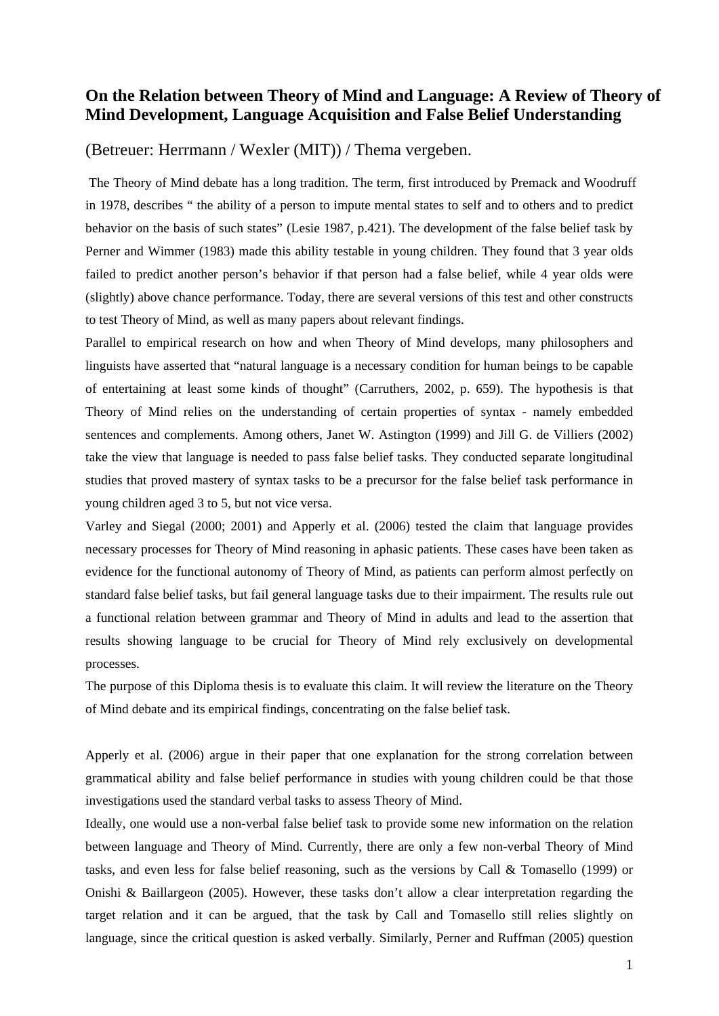## **On the Relation between Theory of Mind and Language: A Review of Theory of Mind Development, Language Acquisition and False Belief Understanding**

## (Betreuer: Herrmann / Wexler (MIT)) / Thema vergeben.

The Theory of Mind debate has a long tradition. The term, first introduced by Premack and Woodruff in 1978, describes " the ability of a person to impute mental states to self and to others and to predict behavior on the basis of such states" (Lesie 1987, p.421). The development of the false belief task by Perner and Wimmer (1983) made this ability testable in young children. They found that 3 year olds failed to predict another person's behavior if that person had a false belief, while 4 year olds were (slightly) above chance performance. Today, there are several versions of this test and other constructs to test Theory of Mind, as well as many papers about relevant findings.

Parallel to empirical research on how and when Theory of Mind develops, many philosophers and linguists have asserted that "natural language is a necessary condition for human beings to be capable of entertaining at least some kinds of thought" (Carruthers, 2002, p. 659). The hypothesis is that Theory of Mind relies on the understanding of certain properties of syntax - namely embedded sentences and complements. Among others, Janet W. Astington (1999) and Jill G. de Villiers (2002) take the view that language is needed to pass false belief tasks. They conducted separate longitudinal studies that proved mastery of syntax tasks to be a precursor for the false belief task performance in young children aged 3 to 5, but not vice versa.

Varley and Siegal (2000; 2001) and Apperly et al. (2006) tested the claim that language provides necessary processes for Theory of Mind reasoning in aphasic patients. These cases have been taken as evidence for the functional autonomy of Theory of Mind, as patients can perform almost perfectly on standard false belief tasks, but fail general language tasks due to their impairment. The results rule out a functional relation between grammar and Theory of Mind in adults and lead to the assertion that results showing language to be crucial for Theory of Mind rely exclusively on developmental processes.

The purpose of this Diploma thesis is to evaluate this claim. It will review the literature on the Theory of Mind debate and its empirical findings, concentrating on the false belief task.

Apperly et al. (2006) argue in their paper that one explanation for the strong correlation between grammatical ability and false belief performance in studies with young children could be that those investigations used the standard verbal tasks to assess Theory of Mind.

Ideally, one would use a non-verbal false belief task to provide some new information on the relation between language and Theory of Mind. Currently, there are only a few non-verbal Theory of Mind tasks, and even less for false belief reasoning, such as the versions by Call & Tomasello (1999) or Onishi & Baillargeon (2005). However, these tasks don't allow a clear interpretation regarding the target relation and it can be argued, that the task by Call and Tomasello still relies slightly on language, since the critical question is asked verbally. Similarly, Perner and Ruffman (2005) question